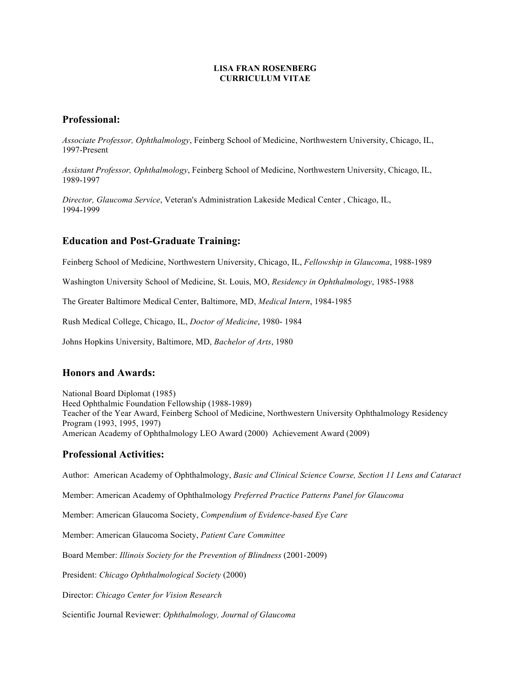#### **LISA FRAN ROSENBERG CURRICULUM VITAE**

# **Professional:**

*Associate Professor, Ophthalmology*, Feinberg School of Medicine, Northwestern University, Chicago, IL, 1997-Present

*Assistant Professor, Ophthalmology*, Feinberg School of Medicine, Northwestern University, Chicago, IL, 1989-1997

*Director, Glaucoma Service*, Veteran's Administration Lakeside Medical Center , Chicago, IL, 1994-1999

# **Education and Post-Graduate Training:**

Feinberg School of Medicine, Northwestern University, Chicago, IL, *Fellowship in Glaucoma*, 1988-1989

Washington University School of Medicine, St. Louis, MO, *Residency in Ophthalmology*, 1985-1988

The Greater Baltimore Medical Center, Baltimore, MD, *Medical Intern*, 1984-1985

Rush Medical College, Chicago, IL, *Doctor of Medicine*, 1980- 1984

Johns Hopkins University, Baltimore, MD, *Bachelor of Arts*, 1980

## **Honors and Awards:**

National Board Diplomat (1985) Heed Ophthalmic Foundation Fellowship (1988-1989) Teacher of the Year Award, Feinberg School of Medicine, Northwestern University Ophthalmology Residency Program (1993, 1995, 1997) American Academy of Ophthalmology LEO Award (2000) Achievement Award (2009)

## **Professional Activities:**

Author: American Academy of Ophthalmology, *Basic and Clinical Science Course, Section 11 Lens and Cataract*

Member: American Academy of Ophthalmology *Preferred Practice Patterns Panel for Glaucoma*

Member: American Glaucoma Society, *Compendium of Evidence-based Eye Care*

Member: American Glaucoma Society, *Patient Care Committee*

Board Member: *Illinois Society for the Prevention of Blindness* (2001-2009)

President: *Chicago Ophthalmological Society* (2000)

Director: *Chicago Center for Vision Research*

Scientific Journal Reviewer: *Ophthalmology, Journal of Glaucoma*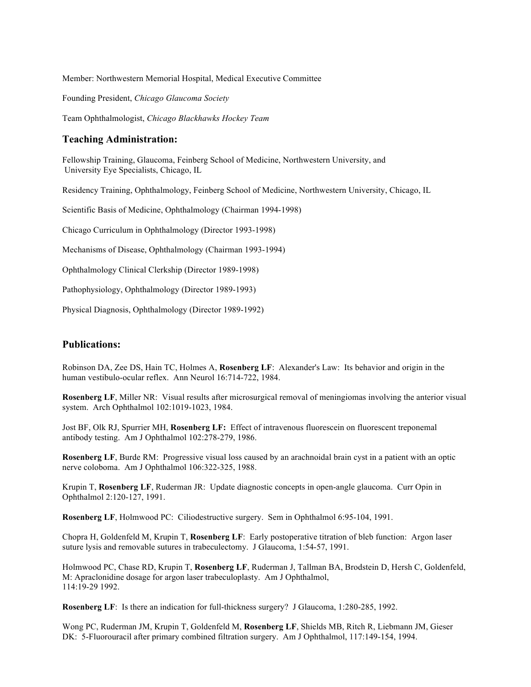Member: Northwestern Memorial Hospital, Medical Executive Committee

Founding President, *Chicago Glaucoma Society*

Team Ophthalmologist, *Chicago Blackhawks Hockey Team* 

## **Teaching Administration:**

Fellowship Training, Glaucoma, Feinberg School of Medicine, Northwestern University, and University Eye Specialists, Chicago, IL

Residency Training, Ophthalmology, Feinberg School of Medicine, Northwestern University, Chicago, IL

Scientific Basis of Medicine, Ophthalmology (Chairman 1994-1998)

Chicago Curriculum in Ophthalmology (Director 1993-1998)

Mechanisms of Disease, Ophthalmology (Chairman 1993-1994)

Ophthalmology Clinical Clerkship (Director 1989-1998)

Pathophysiology, Ophthalmology (Director 1989-1993)

Physical Diagnosis, Ophthalmology (Director 1989-1992)

## **Publications:**

Robinson DA, Zee DS, Hain TC, Holmes A, **Rosenberg LF**: Alexander's Law: Its behavior and origin in the human vestibulo-ocular reflex. Ann Neurol 16:714-722, 1984.

**Rosenberg LF**, Miller NR: Visual results after microsurgical removal of meningiomas involving the anterior visual system. Arch Ophthalmol 102:1019-1023, 1984.

Jost BF, Olk RJ, Spurrier MH, **Rosenberg LF:** Effect of intravenous fluorescein on fluorescent treponemal antibody testing. Am J Ophthalmol 102:278-279, 1986.

**Rosenberg LF**, Burde RM: Progressive visual loss caused by an arachnoidal brain cyst in a patient with an optic nerve coloboma. Am J Ophthalmol 106:322-325, 1988.

Krupin T, **Rosenberg LF**, Ruderman JR: Update diagnostic concepts in open-angle glaucoma. Curr Opin in Ophthalmol 2:120-127, 1991.

**Rosenberg LF**, Holmwood PC: Ciliodestructive surgery. Sem in Ophthalmol 6:95-104, 1991.

Chopra H, Goldenfeld M, Krupin T, **Rosenberg LF**: Early postoperative titration of bleb function: Argon laser suture lysis and removable sutures in trabeculectomy. J Glaucoma, 1:54-57, 1991.

Holmwood PC, Chase RD, Krupin T, **Rosenberg LF**, Ruderman J, Tallman BA, Brodstein D, Hersh C, Goldenfeld, M: Apraclonidine dosage for argon laser trabeculoplasty. Am J Ophthalmol, 114:19-29 1992.

**Rosenberg LF**: Is there an indication for full-thickness surgery? J Glaucoma, 1:280-285, 1992.

Wong PC, Ruderman JM, Krupin T, Goldenfeld M, **Rosenberg LF**, Shields MB, Ritch R, Liebmann JM, Gieser DK: 5-Fluorouracil after primary combined filtration surgery. Am J Ophthalmol, 117:149-154, 1994.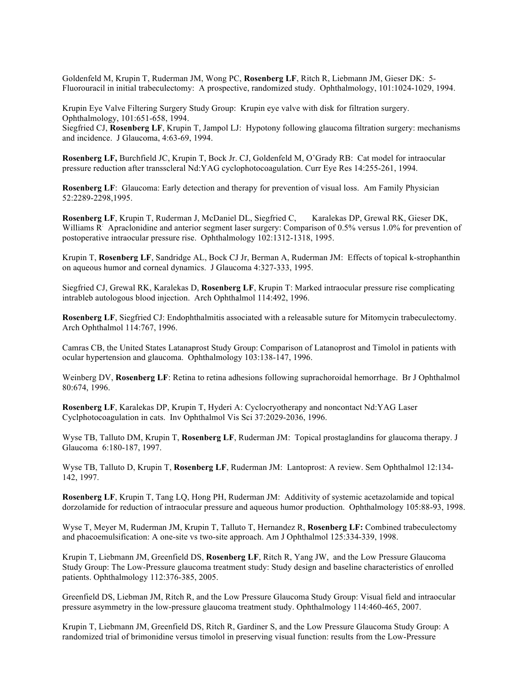Goldenfeld M, Krupin T, Ruderman JM, Wong PC, **Rosenberg LF**, Ritch R, Liebmann JM, Gieser DK: 5- Fluorouracil in initial trabeculectomy: A prospective, randomized study. Ophthalmology, 101:1024-1029, 1994.

Krupin Eye Valve Filtering Surgery Study Group: Krupin eye valve with disk for filtration surgery. Ophthalmology, 101:651-658, 1994.

Siegfried CJ, **Rosenberg LF**, Krupin T, Jampol LJ: Hypotony following glaucoma filtration surgery: mechanisms and incidence. J Glaucoma, 4:63-69, 1994.

**Rosenberg LF,** Burchfield JC, Krupin T, Bock Jr. CJ, Goldenfeld M, O'Grady RB: Cat model for intraocular pressure reduction after transscleral Nd:YAG cyclophotocoagulation. Curr Eye Res 14:255-261, 1994.

**Rosenberg LF**: Glaucoma: Early detection and therapy for prevention of visual loss. Am Family Physician 52:2289-2298,1995.

**Rosenberg LF**, Krupin T, Ruderman J, McDaniel DL, Siegfried C, Karalekas DP, Grewal RK, Gieser DK, Williams R: Apraclonidine and anterior segment laser surgery: Comparison of 0.5% versus 1.0% for prevention of postoperative intraocular pressure rise. Ophthalmology 102:1312-1318, 1995.

Krupin T, **Rosenberg LF**, Sandridge AL, Bock CJ Jr, Berman A, Ruderman JM: Effects of topical k-strophanthin on aqueous humor and corneal dynamics. J Glaucoma 4:327-333, 1995.

Siegfried CJ, Grewal RK, Karalekas D, **Rosenberg LF**, Krupin T: Marked intraocular pressure rise complicating intrableb autologous blood injection. Arch Ophthalmol 114:492, 1996.

**Rosenberg LF**, Siegfried CJ: Endophthalmitis associated with a releasable suture for Mitomycin trabeculectomy. Arch Ophthalmol 114:767, 1996.

Camras CB, the United States Latanaprost Study Group: Comparison of Latanoprost and Timolol in patients with ocular hypertension and glaucoma. Ophthalmology 103:138-147, 1996.

Weinberg DV, **Rosenberg LF**: Retina to retina adhesions following suprachoroidal hemorrhage. Br J Ophthalmol 80:674, 1996.

**Rosenberg LF**, Karalekas DP, Krupin T, Hyderi A: Cyclocryotherapy and noncontact Nd:YAG Laser Cyclphotocoagulation in cats. Inv Ophthalmol Vis Sci 37:2029-2036, 1996.

Wyse TB, Talluto DM, Krupin T, **Rosenberg LF**, Ruderman JM: Topical prostaglandins for glaucoma therapy. J Glaucoma 6:180-187, 1997.

Wyse TB, Talluto D, Krupin T, **Rosenberg LF**, Ruderman JM: Lantoprost: A review. Sem Ophthalmol 12:134- 142, 1997.

**Rosenberg LF**, Krupin T, Tang LQ, Hong PH, Ruderman JM: Additivity of systemic acetazolamide and topical dorzolamide for reduction of intraocular pressure and aqueous humor production. Ophthalmology 105:88-93, 1998.

Wyse T, Meyer M, Ruderman JM, Krupin T, Talluto T, Hernandez R, **Rosenberg LF:** Combined trabeculectomy and phacoemulsification: A one-site vs two-site approach. Am J Ophthalmol 125:334-339, 1998.

Krupin T, Liebmann JM, Greenfield DS, **Rosenberg LF**, Ritch R, Yang JW, and the Low Pressure Glaucoma Study Group: The Low-Pressure glaucoma treatment study: Study design and baseline characteristics of enrolled patients. Ophthalmology 112:376-385, 2005.

Greenfield DS, Liebman JM, Ritch R, and the Low Pressure Glaucoma Study Group: Visual field and intraocular pressure asymmetry in the low-pressure glaucoma treatment study. Ophthalmology 114:460-465, 2007.

Krupin T, Liebmann JM, Greenfield DS, Ritch R, Gardiner S, and the Low Pressure Glaucoma Study Group: A randomized trial of brimonidine versus timolol in preserving visual function: results from the Low-Pressure